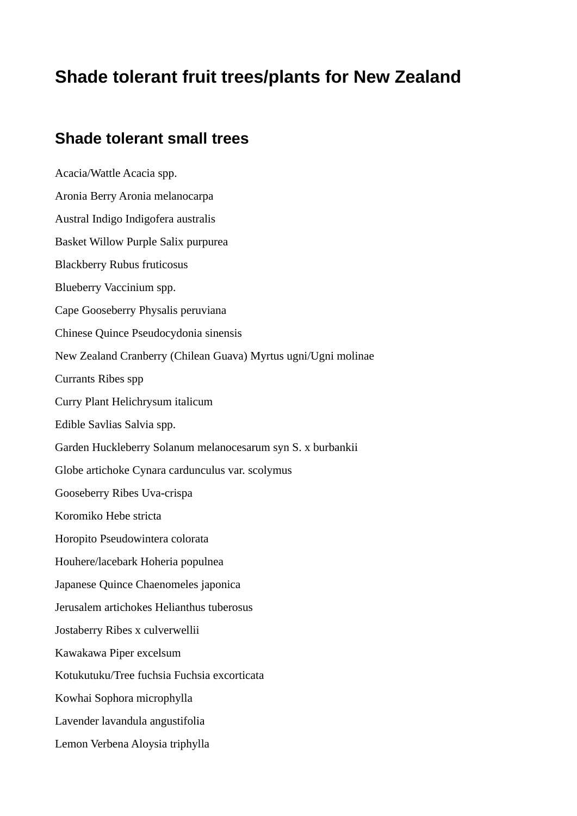## **Shade tolerant fruit trees/plants for New Zealand**

## **Shade tolerant small trees**

Acacia/Wattle Acacia spp. Aronia Berry Aronia melanocarpa Austral Indigo Indigofera australis Basket Willow Purple Salix purpurea Blackberry Rubus fruticosus Blueberry Vaccinium spp. Cape Gooseberry Physalis peruviana Chinese Quince Pseudocydonia sinensis New Zealand Cranberry (Chilean Guava) Myrtus ugni/Ugni molinae Currants Ribes spp Curry Plant Helichrysum italicum Edible Savlias Salvia spp. Garden Huckleberry Solanum melanocesarum syn S. x burbankii Globe artichoke Cynara cardunculus var. scolymus Gooseberry Ribes Uva-crispa Koromiko Hebe stricta Horopito Pseudowintera colorata Houhere/lacebark Hoheria populnea Japanese Quince Chaenomeles japonica Jerusalem artichokes Helianthus tuberosus Jostaberry Ribes x culverwellii Kawakawa Piper excelsum Kotukutuku/Tree fuchsia Fuchsia excorticata Kowhai Sophora microphylla Lavender lavandula angustifolia Lemon Verbena Aloysia triphylla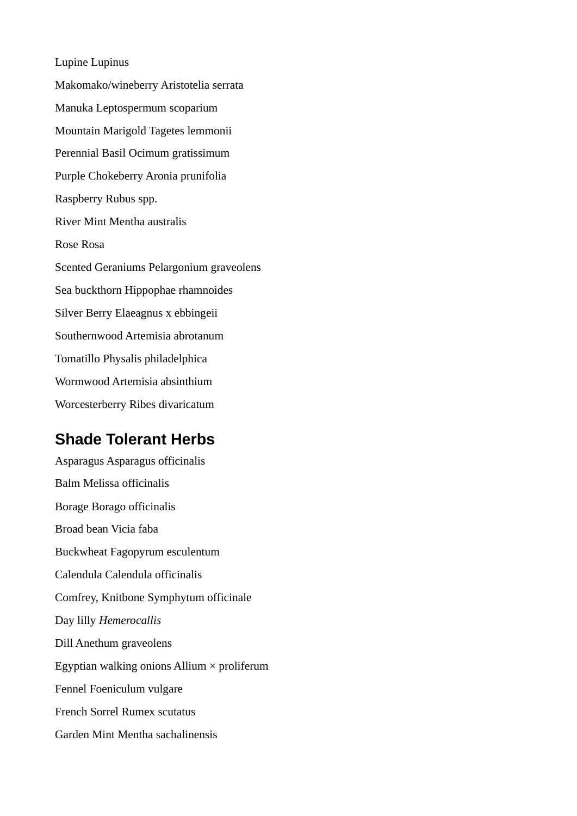Lupine Lupinus Makomako/wineberry Aristotelia serrata Manuka Leptospermum scoparium Mountain Marigold Tagetes lemmonii Perennial Basil Ocimum gratissimum Purple Chokeberry Aronia prunifolia Raspberry Rubus spp. River Mint Mentha australis Rose Rosa Scented Geraniums Pelargonium graveolens Sea buckthorn Hippophae rhamnoides Silver Berry Elaeagnus x ebbingeii Southernwood Artemisia abrotanum Tomatillo Physalis philadelphica Wormwood Artemisia absinthium Worcesterberry Ribes divaricatum

## **Shade Tolerant Herbs**

Asparagus Asparagus officinalis Balm Melissa officinalis Borage Borago officinalis Broad bean Vicia faba Buckwheat Fagopyrum esculentum Calendula Calendula officinalis Comfrey, Knitbone Symphytum officinale Day lilly *Hemerocallis* Dill Anethum graveolens Egyptian walking onions Allium  $\times$  proliferum Fennel Foeniculum vulgare French Sorrel Rumex scutatus Garden Mint Mentha sachalinensis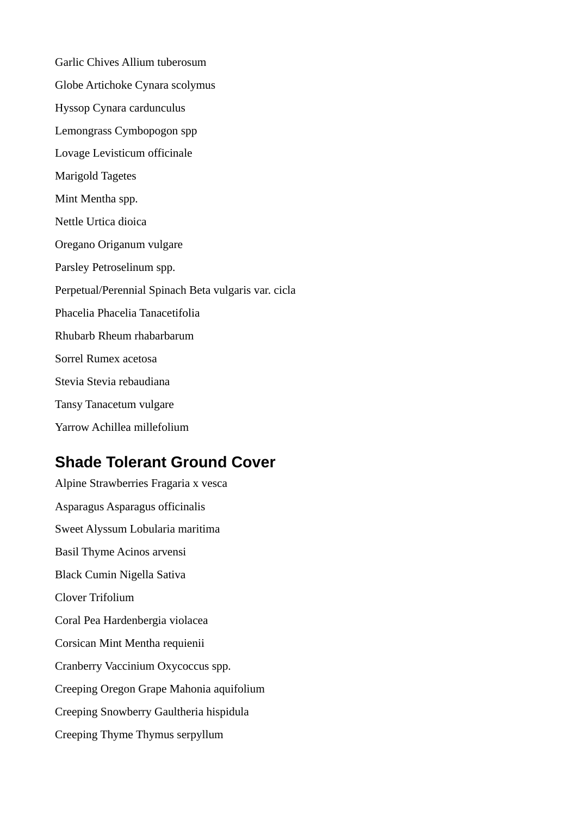Garlic Chives Allium tuberosum Globe Artichoke Cynara scolymus Hyssop Cynara cardunculus Lemongrass Cymbopogon spp Lovage Levisticum officinale Marigold Tagetes Mint Mentha spp. Nettle Urtica dioica Oregano Origanum vulgare Parsley Petroselinum spp. Perpetual/Perennial Spinach Beta vulgaris var. cicla Phacelia Phacelia Tanacetifolia Rhubarb Rheum rhabarbarum Sorrel Rumex acetosa Stevia Stevia rebaudiana Tansy Tanacetum vulgare Yarrow Achillea millefolium

## **Shade Tolerant Ground Cover**

Alpine Strawberries Fragaria x vesca Asparagus Asparagus officinalis Sweet Alyssum Lobularia maritima Basil Thyme Acinos arvensi Black Cumin Nigella Sativa Clover Trifolium Coral Pea Hardenbergia violacea Corsican Mint Mentha requienii Cranberry Vaccinium Oxycoccus spp. Creeping Oregon Grape Mahonia aquifolium Creeping Snowberry Gaultheria hispidula Creeping Thyme Thymus serpyllum